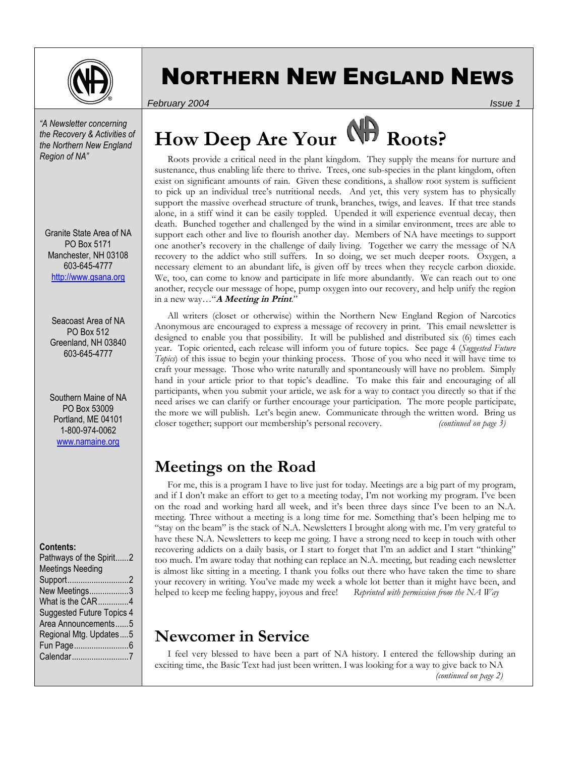

# NORTHERN NEW ENGLAND NEWS

*February 2004 Issue 1*

*"A Newsletter concerning the Recovery & Activities of the Northern New England Region of NA"* 

Granite State Area of NA PO Box 5171 Manchester, NH 03108 603-645-4777 http://www.gsana.org

Seacoast Area of NA PO Box 512 Greenland, NH 03840 603-645-4777

Southern Maine of NA PO Box 53009 Portland, ME 04101 1-800-974-0062 www.namaine.org

#### **Contents:**

| Pathways of the Spirit2          |
|----------------------------------|
| <b>Meetings Needing</b>          |
| Support2                         |
| New Meetings3                    |
| What is the CAR4                 |
| <b>Suggested Future Topics 4</b> |
| Area Announcements5              |
| Regional Mtg. Updates5           |
|                                  |
| Calendar7                        |
|                                  |

# How Deep Are Your **Reset Roots?**

 Roots provide a critical need in the plant kingdom. They supply the means for nurture and sustenance, thus enabling life there to thrive. Trees, one sub-species in the plant kingdom, often exist on significant amounts of rain. Given these conditions, a shallow root system is sufficient to pick up an individual tree's nutritional needs. And yet, this very system has to physically support the massive overhead structure of trunk, branches, twigs, and leaves. If that tree stands alone, in a stiff wind it can be easily toppled. Upended it will experience eventual decay, then death. Bunched together and challenged by the wind in a similar environment, trees are able to support each other and live to flourish another day. Members of NA have meetings to support one another's recovery in the challenge of daily living. Together we carry the message of NA recovery to the addict who still suffers. In so doing, we set much deeper roots. Oxygen, a necessary element to an abundant life, is given off by trees when they recycle carbon dioxide. We, too, can come to know and participate in life more abundantly. We can reach out to one another, recycle our message of hope, pump oxygen into our recovery, and help unify the region in a new way…"**A Meeting in Print**."

 All writers (closet or otherwise) within the Northern New England Region of Narcotics Anonymous are encouraged to express a message of recovery in print. This email newsletter is designed to enable you that possibility. It will be published and distributed six (6) times each year. Topic oriented, each release will inform you of future topics. See page 4 (*Suggested Future Topics*) of this issue to begin your thinking process. Those of you who need it will have time to craft your message. Those who write naturally and spontaneously will have no problem. Simply hand in your article prior to that topic's deadline. To make this fair and encouraging of all participants, when you submit your article, we ask for a way to contact you directly so that if the need arises we can clarify or further encourage your participation. The more people participate, the more we will publish. Let's begin anew. Communicate through the written word. Bring us closer together; support our membership's personal recovery. *(continued on page 3)* 

### **Meetings on the Road**

 For me, this is a program I have to live just for today. Meetings are a big part of my program, and if I don't make an effort to get to a meeting today, I'm not working my program. I've been on the road and working hard all week, and it's been three days since I've been to an N.A. meeting. Three without a meeting is a long time for me. Something that's been helping me to "stay on the beam" is the stack of N.A. Newsletters I brought along with me. I'm very grateful to have these N.A. Newsletters to keep me going. I have a strong need to keep in touch with other recovering addicts on a daily basis, or I start to forget that I'm an addict and I start "thinking" too much. I'm aware today that nothing can replace an N.A. meeting, but reading each newsletter is almost like sitting in a meeting. I thank you folks out there who have taken the time to share your recovery in writing. You've made my week a whole lot better than it might have been, and helped to keep me feeling happy, joyous and free! *Reprinted with permission from the NA Way*

### **Newcomer in Service**

 I feel very blessed to have been a part of NA history. I entered the fellowship during an exciting time, the Basic Text had just been written. I was looking for a way to give back to NA *(continued on page 2)*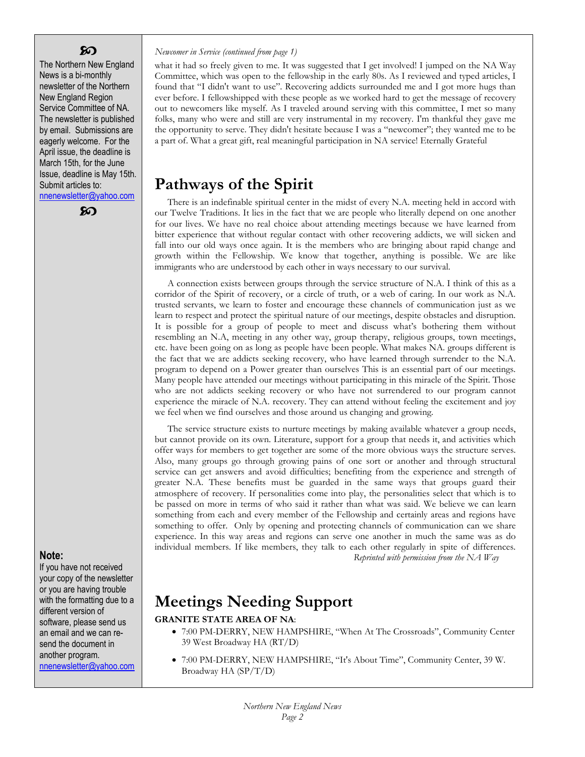#### ဢ

The Northern New England News is a bi-monthly newsletter of the Northern New England Region Service Committee of NA. The newsletter is published by email. Submissions are eagerly welcome. For the April issue, the deadline is March 15th, for the June Issue, deadline is May 15th. Submit articles to: nnenewsletter@yahoo.com

ဢ

#### **Note:**

If you have not received your copy of the newsletter or you are having trouble with the formatting due to a different version of software, please send us an email and we can resend the document in another program. nnenewsletter@yahoo.com

#### *Newcomer in Service (continued from page 1)*

what it had so freely given to me. It was suggested that I get involved! I jumped on the NA Way Committee, which was open to the fellowship in the early 80s. As I reviewed and typed articles, I found that "I didn't want to use". Recovering addicts surrounded me and I got more hugs than ever before. I fellowshipped with these people as we worked hard to get the message of recovery out to newcomers like myself. As I traveled around serving with this committee, I met so many folks, many who were and still are very instrumental in my recovery. I'm thankful they gave me the opportunity to serve. They didn't hesitate because I was a "newcomer"; they wanted me to be a part of. What a great gift, real meaningful participation in NA service! Eternally Grateful

### **Pathways of the Spirit**

 There is an indefinable spiritual center in the midst of every N.A. meeting held in accord with our Twelve Traditions. It lies in the fact that we are people who literally depend on one another for our lives. We have no real choice about attending meetings because we have learned from bitter experience that without regular contact with other recovering addicts, we will sicken and fall into our old ways once again. It is the members who are bringing about rapid change and growth within the Fellowship. We know that together, anything is possible. We are like immigrants who are understood by each other in ways necessary to our survival.

 A connection exists between groups through the service structure of N.A. I think of this as a corridor of the Spirit of recovery, or a circle of truth, or a web of caring. In our work as N.A. trusted servants, we learn to foster and encourage these channels of communication just as we learn to respect and protect the spiritual nature of our meetings, despite obstacles and disruption. It is possible for a group of people to meet and discuss what's bothering them without resembling an N.A, meeting in any other way, group therapy, religious groups, town meetings, etc. have been going on as long as people have been people. What makes NA. groups different is the fact that we are addicts seeking recovery, who have learned through surrender to the N.A. program to depend on a Power greater than ourselves This is an essential part of our meetings. Many people have attended our meetings without participating in this miracle of the Spirit. Those who are not addicts seeking recovery or who have not surrendered to our program cannot experience the miracle of N.A. recovery. They can attend without feeling the excitement and joy we feel when we find ourselves and those around us changing and growing.

 The service structure exists to nurture meetings by making available whatever a group needs, but cannot provide on its own. Literature, support for a group that needs it, and activities which offer ways for members to get together are some of the more obvious ways the structure serves. Also, many groups go through growing pains of one sort or another and through structural service can get answers and avoid difficulties; benefiting from the experience and strength of greater N.A. These benefits must be guarded in the same ways that groups guard their atmosphere of recovery. If personalities come into play, the personalities select that which is to be passed on more in terms of who said it rather than what was said. We believe we can learn something from each and every member of the Fellowship and certainly areas and regions have something to offer. Only by opening and protecting channels of communication can we share experience. In this way areas and regions can serve one another in much the same was as do individual members. If like members, they talk to each other regularly in spite of differences. *Reprinted with permission from the NA Way*

### **Meetings Needing Support**

#### **GRANITE STATE AREA OF NA**:

- 7:00 PM-DERRY, NEW HAMPSHIRE, "When At The Crossroads", Community Center 39 West Broadway HA (RT/D)
- 7:00 PM-DERRY, NEW HAMPSHIRE, "It's About Time", Community Center, 39 W. Broadway HA (SP/T/D)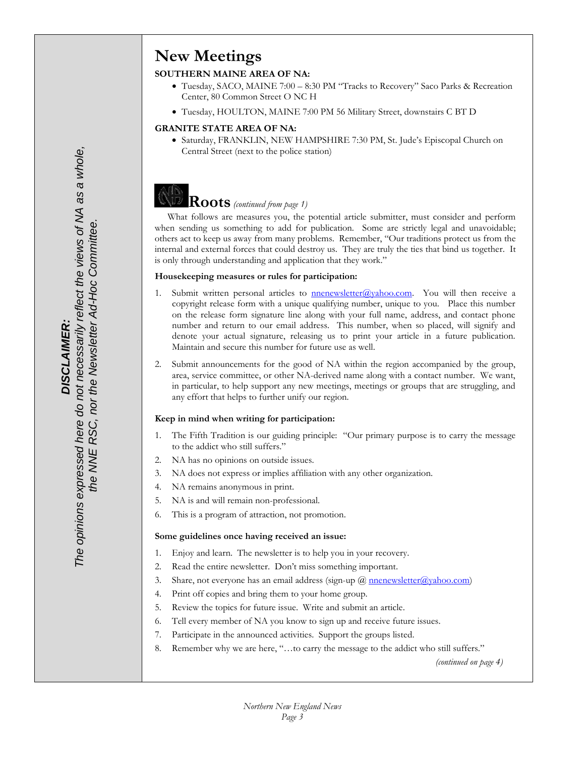## **New Meetings**

#### **SOUTHERN MAINE AREA OF NA:**

- Tuesday, SACO, MAINE 7:00 8:30 PM "Tracks to Recovery" Saco Parks & Recreation Center, 80 Common Street O NC H
- Tuesday, HOULTON, MAINE 7:00 PM 56 Military Street, downstairs C BT D

#### **GRANITE STATE AREA OF NA:**

• Saturday, FRANKLIN, NEW HAMPSHIRE 7:30 PM, St. Jude's Episcopal Church on Central Street (next to the police station)

# **Roots** *(continued from page 1)*

 What follows are measures you, the potential article submitter, must consider and perform when sending us something to add for publication. Some are strictly legal and unavoidable; others act to keep us away from many problems. Remember, "Our traditions protect us from the internal and external forces that could destroy us. They are truly the ties that bind us together. It is only through understanding and application that they work."

#### **Housekeeping measures or rules for participation:**

- 1. Submit written personal articles to  $\frac{1}{2}$  menewsletter $\frac{1}{2}$  ahoo.com. You will then receive a copyright release form with a unique qualifying number, unique to you. Place this number on the release form signature line along with your full name, address, and contact phone number and return to our email address. This number, when so placed, will signify and denote your actual signature, releasing us to print your article in a future publication. Maintain and secure this number for future use as well.
- 2. Submit announcements for the good of NA within the region accompanied by the group, area, service committee, or other NA-derived name along with a contact number. We want, in particular, to help support any new meetings, meetings or groups that are struggling, and any effort that helps to further unify our region.

#### **Keep in mind when writing for participation:**

- 1. The Fifth Tradition is our guiding principle: "Our primary purpose is to carry the message to the addict who still suffers."
- 2. NA has no opinions on outside issues.
- 3. NA does not express or implies affiliation with any other organization.
- 4. NA remains anonymous in print.
- 5. NA is and will remain non-professional.
- 6. This is a program of attraction, not promotion.

#### **Some guidelines once having received an issue:**

- 1. Enjoy and learn. The newsletter is to help you in your recovery.
- 2. Read the entire newsletter. Don't miss something important.
- 3. Share, not everyone has an email address (sign-up  $\overline{a}$ ) nnenewsletter $\overline{a}$ ) vahoo.com)
- 4. Print off copies and bring them to your home group.
- 5. Review the topics for future issue. Write and submit an article.
- 6. Tell every member of NA you know to sign up and receive future issues.
- 7. Participate in the announced activities. Support the groups listed.
- 8. Remember why we are here, "…to carry the message to the addict who still suffers."

*(continued on page 4)*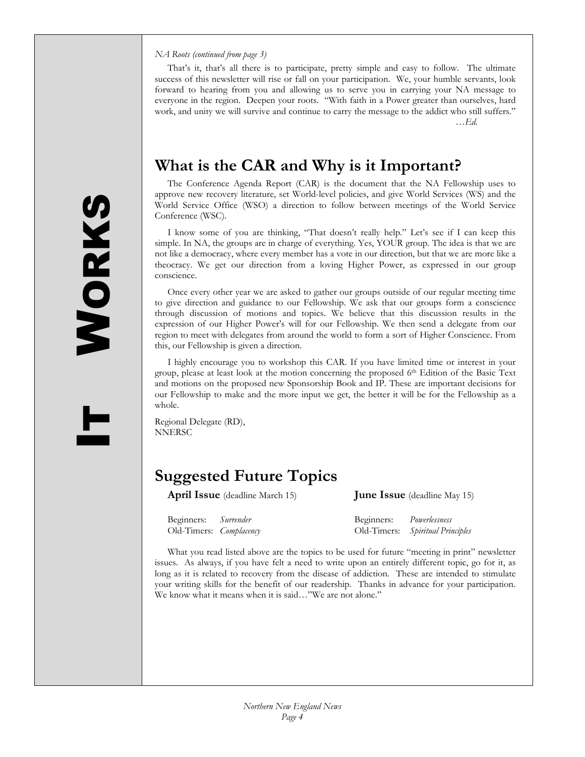#### *NA Roots (continued from page 3)*

 That's it, that's all there is to participate, pretty simple and easy to follow. The ultimate success of this newsletter will rise or fall on your participation. We, your humble servants, look forward to hearing from you and allowing us to serve you in carrying your NA message to everyone in the region. Deepen your roots. "With faith in a Power greater than ourselves, hard work, and unity we will survive and continue to carry the message to the addict who still suffers."

**What is the CAR and Why is it Important?** 

 The Conference Agenda Report (CAR) is the document that the NA Fellowship uses to approve new recovery literature, set World-level policies, and give World Services (WS) and the World Service Office (WSO) a direction to follow between meetings of the World Service Conference (WSC).

 I know some of you are thinking, "That doesn't really help." Let's see if I can keep this simple. In NA, the groups are in charge of everything. Yes, YOUR group. The idea is that we are not like a democracy, where every member has a vote in our direction, but that we are more like a theocracy. We get our direction from a loving Higher Power, as expressed in our group conscience.

 Once every other year we are asked to gather our groups outside of our regular meeting time to give direction and guidance to our Fellowship. We ask that our groups form a conscience through discussion of motions and topics. We believe that this discussion results in the expression of our Higher Power's will for our Fellowship. We then send a delegate from our region to meet with delegates from around the world to form a sort of Higher Conscience. From this, our Fellowship is given a direction.

 I highly encourage you to workshop this CAR. If you have limited time or interest in your group, please at least look at the motion concerning the proposed 6<sup>th</sup> Edition of the Basic Text and motions on the proposed new Sponsorship Book and IP. These are important decisions for our Fellowship to make and the more input we get, the better it will be for the Fellowship as a whole.

Regional Delegate (RD), NNERSC

### **Suggested Future Topics**

**April Issue** (deadline March 15) **June Issue** (deadline May 15)

…*Ed.* 

| Beginners: Surrender    | Beginners: | Powerlessness                    |
|-------------------------|------------|----------------------------------|
| Old-Timers: Complacency |            | Old-Timers: Spiritual Principles |

 What you read listed above are the topics to be used for future "meeting in print" newsletter issues. As always, if you have felt a need to write upon an entirely different topic, go for it, as long as it is related to recovery from the disease of addiction. These are intended to stimulate your writing skills for the benefit of our readership. Thanks in advance for your participation. We know what it means when it is said…"We are not alone."

T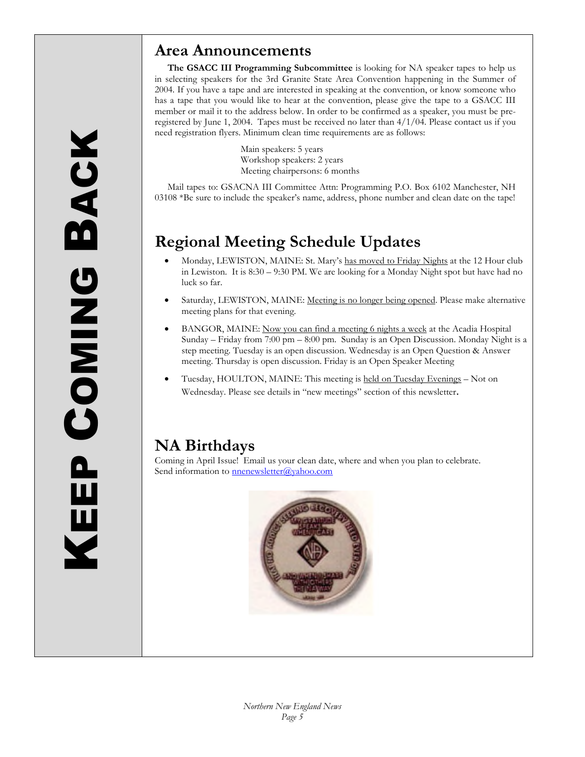### **Area Announcements**

**The GSACC III Programming Subcommittee** is looking for NA speaker tapes to help us in selecting speakers for the 3rd Granite State Area Convention happening in the Summer of 2004. If you have a tape and are interested in speaking at the convention, or know someone who has a tape that you would like to hear at the convention, please give the tape to a GSACC III member or mail it to the address below. In order to be confirmed as a speaker, you must be preregistered by June 1, 2004. Tapes must be received no later than 4/1/04. Please contact us if you need registration flyers. Minimum clean time requirements are as follows:

> Main speakers: 5 years Workshop speakers: 2 years Meeting chairpersons: 6 months

 Mail tapes to: GSACNA III Committee Attn: Programming P.O. Box 6102 Manchester, NH 03108 \*Be sure to include the speaker's name, address, phone number and clean date on the tape!

### **Regional Meeting Schedule Updates**

- Monday, LEWISTON, MAINE: St. Mary's has moved to Friday Nights at the 12 Hour club in Lewiston. It is 8:30 – 9:30 PM. We are looking for a Monday Night spot but have had no luck so far.
- Saturday, LEWISTON, MAINE: Meeting is no longer being opened. Please make alternative meeting plans for that evening.
- BANGOR, MAINE: Now you can find a meeting 6 nights a week at the Acadia Hospital Sunday – Friday from 7:00 pm – 8:00 pm. Sunday is an Open Discussion. Monday Night is a step meeting. Tuesday is an open discussion. Wednesday is an Open Question & Answer meeting. Thursday is open discussion. Friday is an Open Speaker Meeting
- Tuesday, HOULTON, MAINE: This meeting is held on Tuesday Evenings Not on Wednesday. Please see details in "new meetings" section of this newsletter.

### **NA Birthdays**

Coming in April Issue! Email us your clean date, where and when you plan to celebrate. Send information to **nnenewsletter@yahoo.com** 

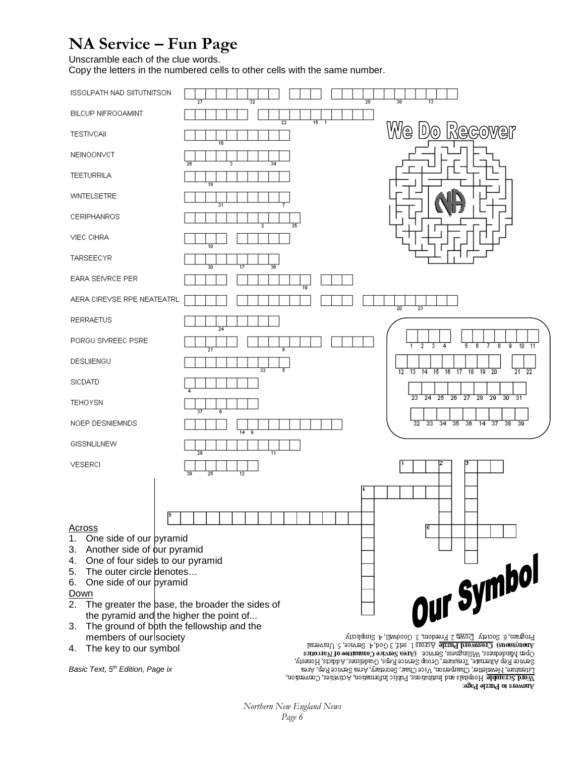### **NA Service – Fun Page**

Unscramble each of the clue words.

Copy the letters in the numbered cells to other cells with the same number.



*Basic Text, 5th Edition, Page ix* 

Open Mindedness, Willingness, Service. (Area Service Committee of Narcotics Service Rep Alternate, Treasurer, Group Service Reps, Guidelines, Addicts, Honesty, no instruct contrary, the main of the contrary, and the contrary of the contrary of the contrary, and the contrary, and the contrary, and the contrary, and the contrary, and the contrary, and the contrary, and the contrary जिष्ठ्य अध्यात व अक्षराप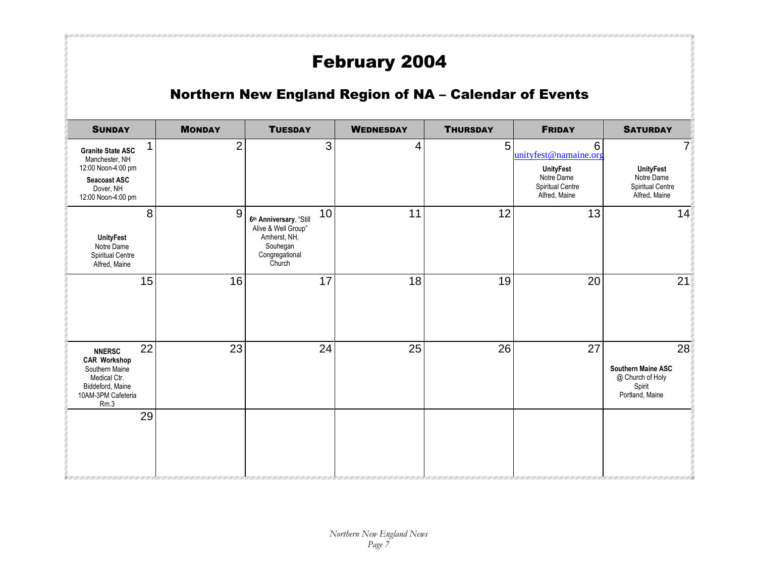# February 2004

### Northern New England Region of NA – Calendar of Events

| <b>SUNDAY</b>                                                                                                                  | <b>MONDAY</b>  | <b>TUESDAY</b>                                                                                               | <b>WEDNESDAY</b> | <b>THURSDAY</b> | <b>FRIDAY</b>                                                                                     | <b>SATURDAY</b>                                                                  |
|--------------------------------------------------------------------------------------------------------------------------------|----------------|--------------------------------------------------------------------------------------------------------------|------------------|-----------------|---------------------------------------------------------------------------------------------------|----------------------------------------------------------------------------------|
| <b>Granite State ASC</b><br>Manchester, NH<br>12:00 Noon-4:00 pm<br><b>Seacoast ASC</b><br>Dover, NH<br>12:00 Noon-4:00 pm     | $\overline{2}$ | 3                                                                                                            | 4                | 5               | 6<br>unityfest@namaine.org<br><b>UnityFest</b><br>Notre Dame<br>Spiritual Centre<br>Alfred, Maine | 7<br><b>UnityFest</b><br>Notre Dame<br>Spiritual Centre<br>Alfred, Maine         |
| 8<br><b>UnityFest</b><br>Notre Dame<br>Spiritual Centre<br>Alfred, Maine                                                       | $9\,$          | 10<br>6th Anniversary, "Still<br>Alive & Well Group"<br>Amherst, NH,<br>Souhegan<br>Congregational<br>Church | 11               | 12              | 13                                                                                                | 14                                                                               |
| 15                                                                                                                             | 16             | 17                                                                                                           | 18               | 19              | 20                                                                                                | 21                                                                               |
| 22<br><b>NNERSC</b><br><b>CAR Workshop</b><br>Southern Maine<br>Medical Ctr.<br>Biddeford, Maine<br>10AM-3PM Cafeteria<br>Rm.3 | 23             | 24                                                                                                           | 25               | 26              | 27                                                                                                | 28<br><b>Southern Maine ASC</b><br>@ Church of Holy<br>Spirit<br>Portland, Maine |
| 29                                                                                                                             |                |                                                                                                              |                  |                 |                                                                                                   |                                                                                  |